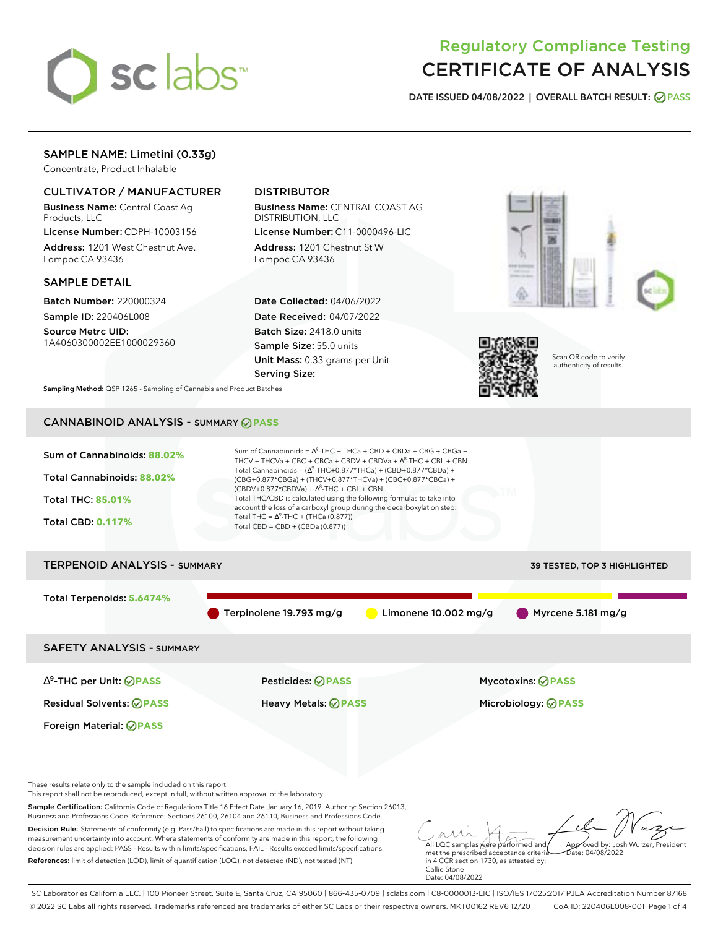

# Regulatory Compliance Testing CERTIFICATE OF ANALYSIS

**DATE ISSUED 04/08/2022 | OVERALL BATCH RESULT: PASS**

# SAMPLE NAME: Limetini (0.33g)

Concentrate, Product Inhalable

### CULTIVATOR / MANUFACTURER

Business Name: Central Coast Ag Products, LLC

License Number: CDPH-10003156 Address: 1201 West Chestnut Ave. Lompoc CA 93436

### SAMPLE DETAIL

Batch Number: 220000324 Sample ID: 220406L008

Source Metrc UID: 1A4060300002EE1000029360

# DISTRIBUTOR

Business Name: CENTRAL COAST AG DISTRIBUTION, LLC License Number: C11-0000496-LIC

Address: 1201 Chestnut St W Lompoc CA 93436

Date Collected: 04/06/2022 Date Received: 04/07/2022 Batch Size: 2418.0 units Sample Size: 55.0 units Unit Mass: 0.33 grams per Unit Serving Size:





Scan QR code to verify authenticity of results.

**Sampling Method:** QSP 1265 - Sampling of Cannabis and Product Batches

# CANNABINOID ANALYSIS - SUMMARY **PASS**



Decision Rule: Statements of conformity (e.g. Pass/Fail) to specifications are made in this report without taking measurement uncertainty into account. Where statements of conformity are made in this report, the following decision rules are applied: PASS - Results within limits/specifications, FAIL - Results exceed limits/specifications. References: limit of detection (LOD), limit of quantification (LOQ), not detected (ND), not tested (NT)

All LQC samples were performed and met the prescribed acceptance criteria in 4 CCR section 1730, as attested by: Callie Stone Date: 04/08/2022 Approved by: Josh Wurzer, President  $ate: 04/08/2022$ 

SC Laboratories California LLC. | 100 Pioneer Street, Suite E, Santa Cruz, CA 95060 | 866-435-0709 | sclabs.com | C8-0000013-LIC | ISO/IES 17025:2017 PJLA Accreditation Number 87168 © 2022 SC Labs all rights reserved. Trademarks referenced are trademarks of either SC Labs or their respective owners. MKT00162 REV6 12/20 CoA ID: 220406L008-001 Page 1 of 4